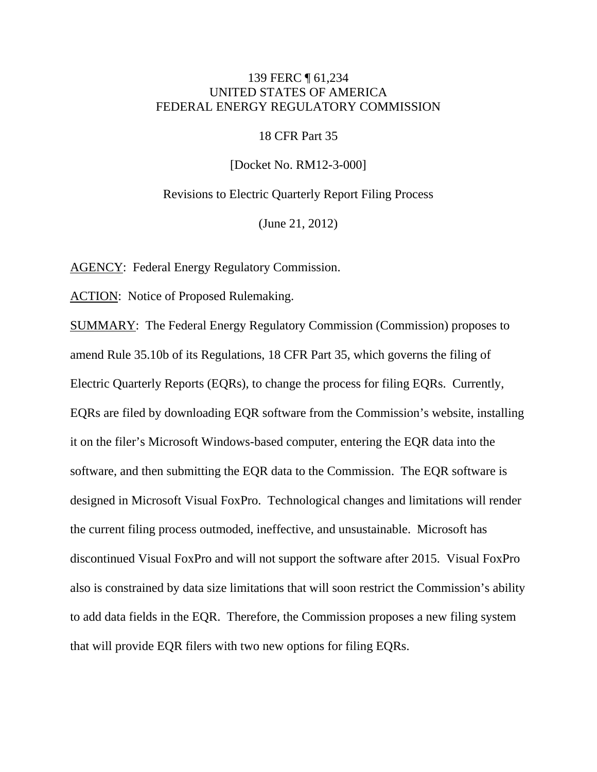## 139 FERC ¶ 61,234 UNITED STATES OF AMERICA FEDERAL ENERGY REGULATORY COMMISSION

#### 18 CFR Part 35

[Docket No. RM12-3-000]

Revisions to Electric Quarterly Report Filing Process

(June 21, 2012)

AGENCY: Federal Energy Regulatory Commission.

ACTION: Notice of Proposed Rulemaking.

SUMMARY: The Federal Energy Regulatory Commission (Commission) proposes to amend Rule 35.10b of its Regulations, 18 CFR Part 35, which governs the filing of Electric Quarterly Reports (EQRs), to change the process for filing EQRs. Currently, EQRs are filed by downloading EQR software from the Commission's website, installing it on the filer's Microsoft Windows-based computer, entering the EQR data into the software, and then submitting the EQR data to the Commission. The EQR software is designed in Microsoft Visual FoxPro. Technological changes and limitations will render the current filing process outmoded, ineffective, and unsustainable. Microsoft has discontinued Visual FoxPro and will not support the software after 2015. Visual FoxPro also is constrained by data size limitations that will soon restrict the Commission's ability to add data fields in the EQR. Therefore, the Commission proposes a new filing system that will provide EQR filers with two new options for filing EQRs.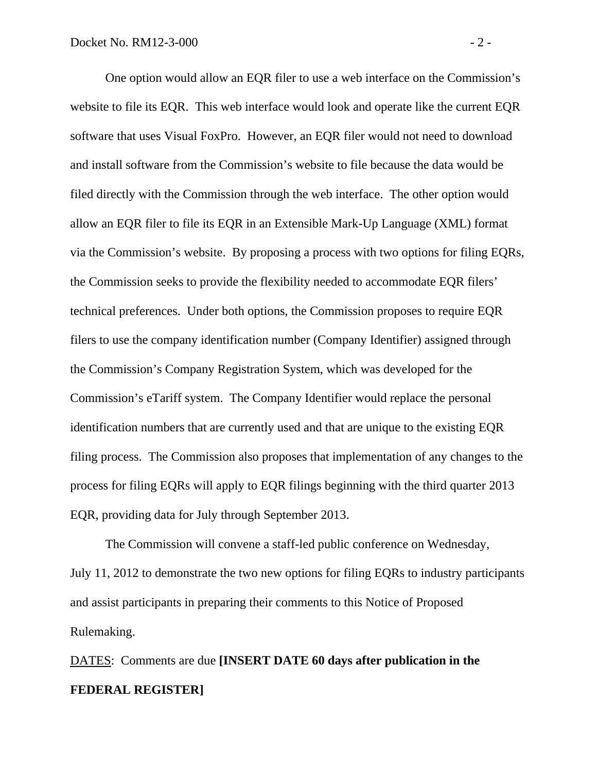One option would allow an EQR filer to use a web interface on the Commission's website to file its EQR. This web interface would look and operate like the current EQR software that uses Visual FoxPro. However, an EQR filer would not need to download and install software from the Commission's website to file because the data would be filed directly with the Commission through the web interface. The other option would allow an EQR filer to file its EQR in an Extensible Mark-Up Language (XML) format via the Commission's website. By proposing a process with two options for filing EQRs, the Commission seeks to provide the flexibility needed to accommodate EQR filers' technical preferences. Under both options, the Commission proposes to require EQR filers to use the company identification number (Company Identifier) assigned through the Commission's Company Registration System, which was developed for the Commission's eTariff system. The Company Identifier would replace the personal identification numbers that are currently used and that are unique to the existing EQR filing process. The Commission also proposes that implementation of any changes to the process for filing EQRs will apply to EQR filings beginning with the third quarter 2013 EQR, providing data for July through September 2013.

 The Commission will convene a staff-led public conference on Wednesday, July 11, 2012 to demonstrate the two new options for filing EQRs to industry participants and assist participants in preparing their comments to this Notice of Proposed Rulemaking.

DATES: Comments are due **[INSERT DATE 60 days after publication in the FEDERAL REGISTER]**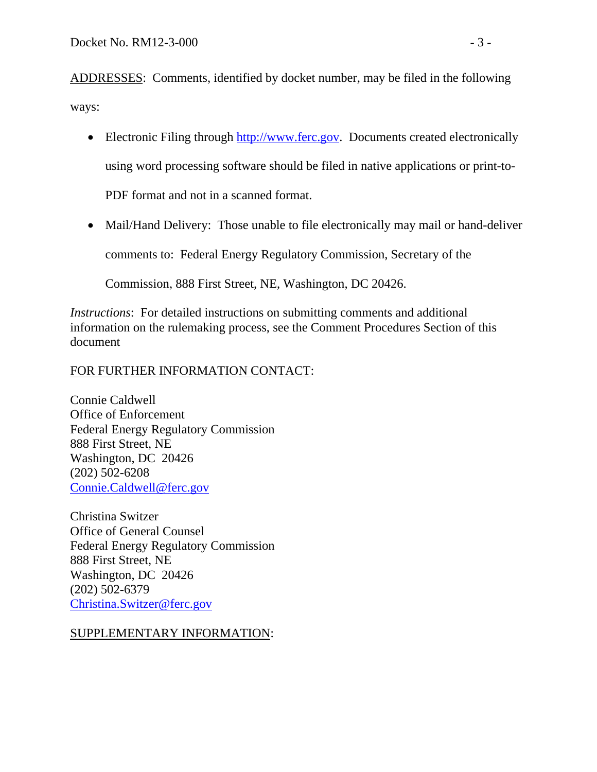ADDRESSES: Comments, identified by docket number, may be filed in the following ways:

- Electronic Filing through [http://www.ferc.gov](http://www.ferc.gov/). Documents created electronically using word processing software should be filed in native applications or print-to-PDF format and not in a scanned format.
- Mail/Hand Delivery: Those unable to file electronically may mail or hand-deliver comments to: Federal Energy Regulatory Commission, Secretary of the

Commission, 888 First Street, NE, Washington, DC 20426.

*Instructions*: For detailed instructions on submitting comments and additional information on the rulemaking process, see the Comment Procedures Section of this document

# FOR FURTHER INFORMATION CONTACT:

Connie Caldwell Office of Enforcement Federal Energy Regulatory Commission 888 First Street, NE Washington, DC 20426 (202) 502-6208 [Connie.Caldwell@ferc.gov](mailto:Connie.Caldwell@ferc.gov)

Christina Switzer Office of General Counsel Federal Energy Regulatory Commission 888 First Street, NE Washington, DC 20426 (202) 502-6379 [Christina.Switzer@ferc.gov](mailto:Christina.Switzer@ferc.gov)

SUPPLEMENTARY INFORMATION: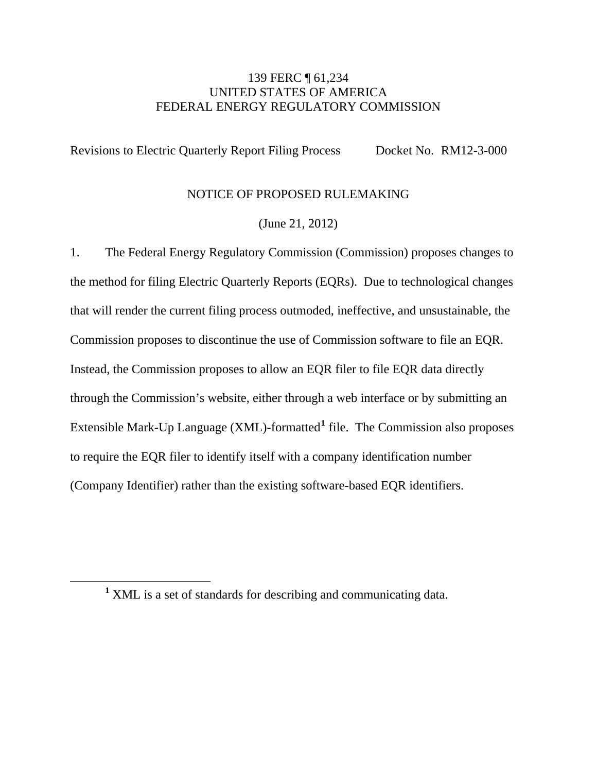## 139 FERC ¶ 61,234 UNITED STATES OF AMERICA FEDERAL ENERGY REGULATORY COMMISSION

Revisions to Electric Quarterly Report Filing Process Docket No. RM12-3-000

### NOTICE OF PROPOSED RULEMAKING

(June 21, 2012)

1. The Federal Energy Regulatory Commission (Commission) proposes changes to the method for filing Electric Quarterly Reports (EQRs). Due to technological changes that will render the current filing process outmoded, ineffective, and unsustainable, the Commission proposes to discontinue the use of Commission software to file an EQR. Instead, the Commission proposes to allow an EQR filer to file EQR data directly through the Commission's website, either through a web interface or by submitting an Extensible Mark-Up Language (XML)-formatted**[1](#page-3-0)** file. The Commission also proposes to require the EQR filer to identify itself with a company identification number (Company Identifier) rather than the existing software-based EQR identifiers.

<span id="page-3-0"></span><sup>&</sup>lt;u>1</u> <sup>1</sup> XML is a set of standards for describing and communicating data.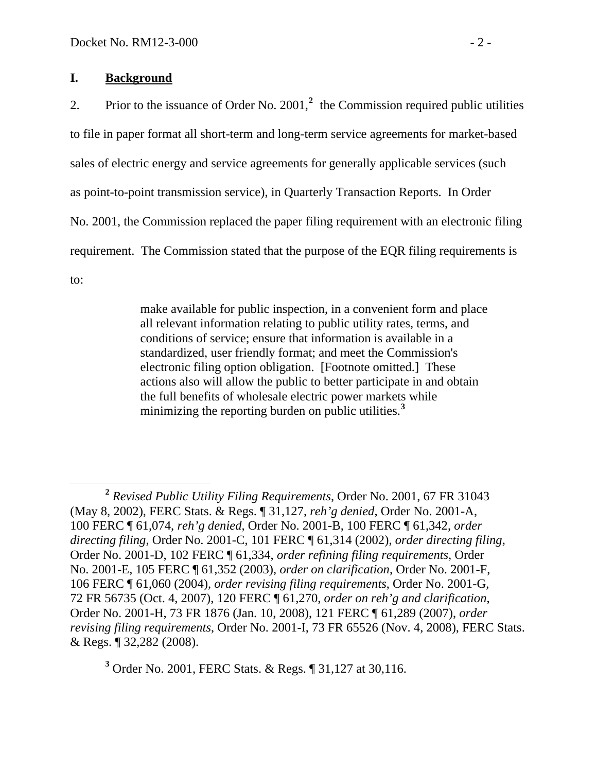### **I. Background**

[2](#page-4-0). Prior to the issuance of Order No. 2001,<sup>2</sup> the Commission required public utilities to file in paper format all short-term and long-term service agreements for market-based sales of electric energy and service agreements for generally applicable services (such as point-to-point transmission service), in Quarterly Transaction Reports. In Order No. 2001, the Commission replaced the paper filing requirement with an electronic filing requirement. The Commission stated that the purpose of the EQR filing requirements is to:

> make available for public inspection, in a convenient form and place all relevant information relating to public utility rates, terms, and conditions of service; ensure that information is available in a standardized, user friendly format; and meet the Commission's electronic filing option obligation. [Footnote omitted.] These actions also will allow the public to better participate in and obtain the full benefits of wholesale electric power markets while minimizing the reporting burden on public utilities.**[3](#page-4-1)**

<span id="page-4-1"></span>**3** Order No. 2001, FERC Stats. & Regs. ¶ 31,127 at 30,116.

<span id="page-4-0"></span>**<sup>2</sup>**  *Revised Public Utility Filing Requirements,* Order No. 2001, 67 FR 31043 (May 8, 2002), FERC Stats. & Regs. ¶ 31,127, *reh'g denied*, Order No. 2001-A, 100 FERC ¶ 61,074, *reh'g denied*, Order No. 2001-B, 100 FERC ¶ 61,342, *order directing filing*, Order No. 2001-C, 101 FERC ¶ 61,314 (2002), *order directing filing*, Order No. 2001-D, 102 FERC ¶ 61,334, *order refining filing requirements*, Order No. 2001-E, 105 FERC ¶ 61,352 (2003), *order on clarification*, Order No. 2001-F, 106 FERC ¶ 61,060 (2004), *order revising filing requirements*, Order No. 2001-G, 72 FR 56735 (Oct. 4, 2007), 120 FERC ¶ 61,270, *order on reh'g and clarification*, Order No. 2001-H, 73 FR 1876 (Jan. 10, 2008), 121 FERC ¶ 61,289 (2007), *order revising filing requirements*, Order No. 2001-I, 73 FR 65526 (Nov. 4, 2008), FERC Stats. & Regs. ¶ 32,282 (2008).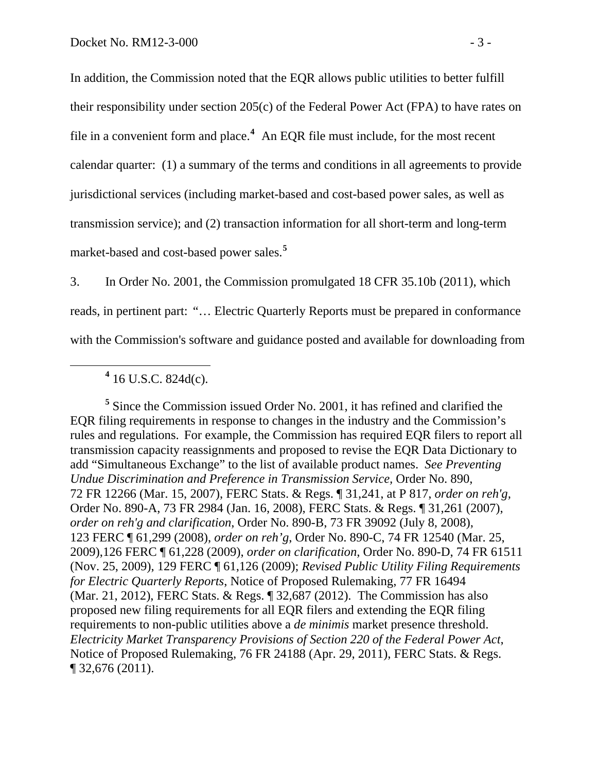In addition, the Commission noted that the EQR allows public utilities to better fulfill their responsibility under section 205(c) of the Federal Power Act (FPA) to have rates on file in a convenient form and place.**[4](#page-5-0)** An EQR file must include, for the most recent calendar quarter: (1) a summary of the terms and conditions in all agreements to provide jurisdictional services (including market-based and cost-based power sales, as well as transmission service); and (2) transaction information for all short-term and long-term market-based and cost-based power sales.**[5](#page-5-1)**

3. In Order No. 2001, the Commission promulgated 18 CFR 35.10b (2011), which reads, in pertinent part: "… Electric Quarterly Reports must be prepared in conformance with the Commission's software and guidance posted and available for downloading from

<span id="page-5-0"></span> **<sup>4</sup>**  $4$  16 U.S.C. 824d(c).

<span id="page-5-1"></span><sup>5</sup> Since the Commission issued Order No. 2001, it has refined and clarified the EQR filing requirements in response to changes in the industry and the Commission's rules and regulations. For example, the Commission has required EQR filers to report all transmission capacity reassignments and proposed to revise the EQR Data Dictionary to add "Simultaneous Exchange" to the list of available product names. *See Preventing Undue Discrimination and Preference in Transmission Service,* Order No. 890, 72 FR 12266 (Mar. 15, 2007), FERC Stats. & Regs. ¶ 31,241, at P 817, *order on reh'g,* Order No. 890-A, 73 FR 2984 (Jan. 16, 2008), FERC Stats. & Regs. ¶ 31,261 (2007), *order on reh'g and clarification*, Order No. 890-B, 73 FR 39092 (July 8, 2008), 123 FERC ¶ 61,299 (2008), *order on reh'g*, Order No. 890-C, 74 FR 12540 (Mar. 25, 2009),126 FERC ¶ 61,228 (2009), *order on clarification*, Order No. 890-D, 74 FR 61511 (Nov. 25, 2009), 129 FERC ¶ 61,126 (2009); *Revised Public Utility Filing Requirements for Electric Quarterly Reports*, Notice of Proposed Rulemaking, 77 FR 16494 (Mar. 21, 2012), FERC Stats. & Regs. ¶ 32,687 (2012). The Commission has also proposed new filing requirements for all EQR filers and extending the EQR filing requirements to non-public utilities above a *de minimis* market presence threshold. *Electricity Market Transparency Provisions of Section 220 of the Federal Power Act*, Notice of Proposed Rulemaking, 76 FR 24188 (Apr. 29, 2011), FERC Stats. & Regs. ¶ 32,676 (2011).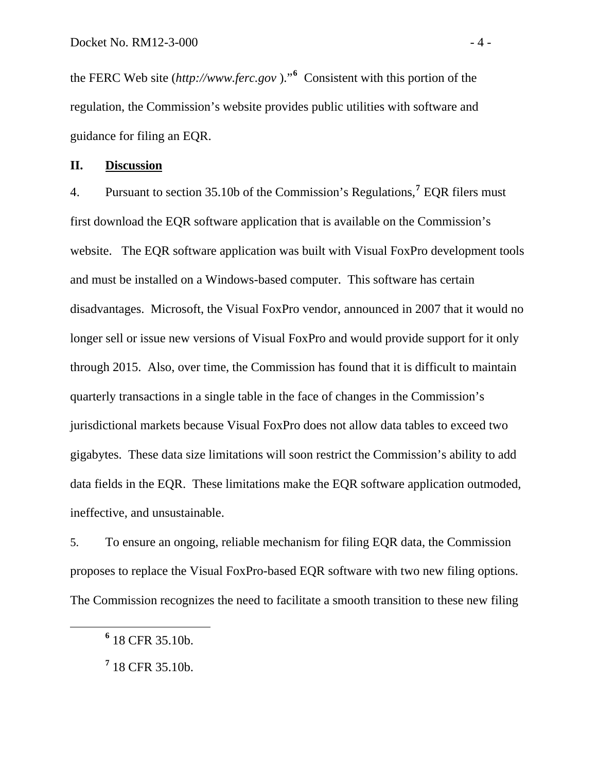the FERC Web site (*http://www.ferc.gov* )."**<sup>6</sup>** Consistent with this portion of the regulation, the Commission's website provides public utilities with software and guidance for filing an EQR.

#### **II. Discussion**

4. Pursuant to section 35.10b of the Commission's Regulations,**[7](#page-6-0)** EQR filers must first download the EQR software application that is available on the Commission's website. The EQR software application was built with Visual FoxPro development tools and must be installed on a Windows-based computer. This software has certain disadvantages. Microsoft, the Visual FoxPro vendor, announced in 2007 that it would no longer sell or issue new versions of Visual FoxPro and would provide support for it only through 2015. Also, over time, the Commission has found that it is difficult to maintain quarterly transactions in a single table in the face of changes in the Commission's jurisdictional markets because Visual FoxPro does not allow data tables to exceed two gigabytes. These data size limitations will soon restrict the Commission's ability to add data fields in the EQR. These limitations make the EQR software application outmoded, ineffective, and unsustainable.

5. To ensure an ongoing, reliable mechanism for filing EQR data, the Commission proposes to replace the Visual FoxPro-based EQR software with two new filing options. The Commission recognizes the need to facilitate a smooth transition to these new filing

<span id="page-6-0"></span>**<sup>6</sup>**  $6$  18 CFR 35.10b.

**<sup>7</sup>** 18 CFR 35.10b.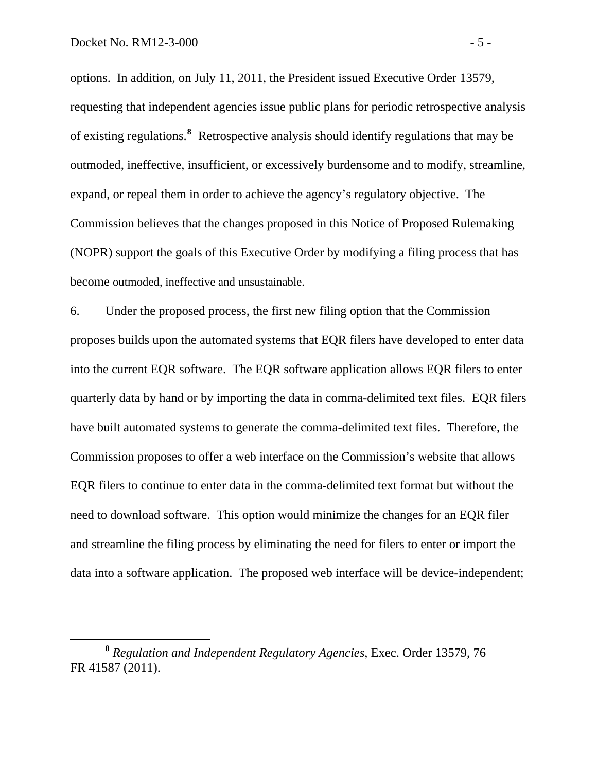options. In addition, on July 11, 2011, the President issued Executive Order 13579, requesting that independent agencies issue public plans for periodic retrospective analysis of existing regulations.**<sup>8</sup>** Retrospective analysis should identify regulations that may be outmoded, ineffective, insufficient, or excessively burdensome and to modify, streamline, expand, or repeal them in order to achieve the agency's regulatory objective. The Commission believes that the changes proposed in this Notice of Proposed Rulemaking (NOPR) support the goals of this Executive Order by modifying a filing process that has become outmoded, ineffective and unsustainable.

6. Under the proposed process, the first new filing option that the Commission proposes builds upon the automated systems that EQR filers have developed to enter data into the current EQR software. The EQR software application allows EQR filers to enter quarterly data by hand or by importing the data in comma-delimited text files. EQR filers have built automated systems to generate the comma-delimited text files. Therefore, the Commission proposes to offer a web interface on the Commission's website that allows EQR filers to continue to enter data in the comma-delimited text format but without the need to download software. This option would minimize the changes for an EQR filer and streamline the filing process by eliminating the need for filers to enter or import the data into a software application. The proposed web interface will be device-independent;

**<sup>8</sup>** *Regulation and Independent Regulatory Agencies*, Exec. Order 13579, 76 FR 41587 (2011).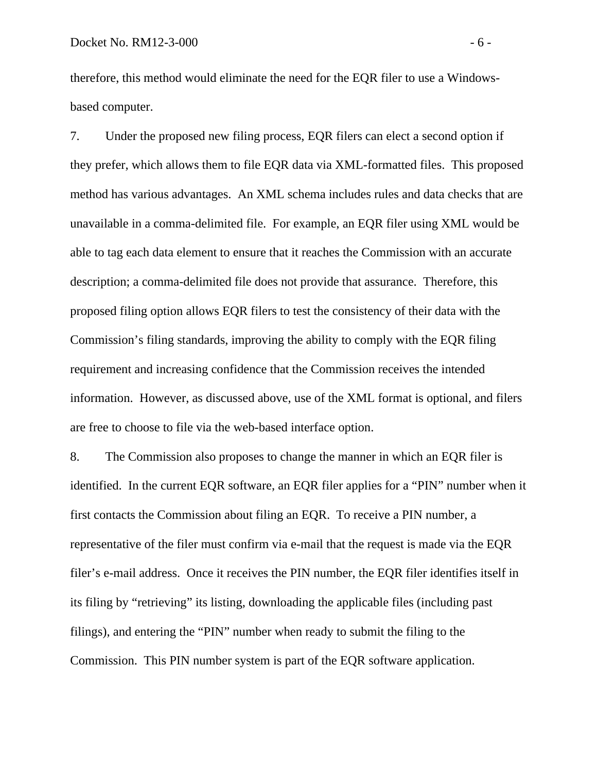therefore, this method would eliminate the need for the EQR filer to use a Windowsbased computer.

7. Under the proposed new filing process, EQR filers can elect a second option if they prefer, which allows them to file EQR data via XML-formatted files. This proposed method has various advantages. An XML schema includes rules and data checks that are unavailable in a comma-delimited file. For example, an EQR filer using XML would be able to tag each data element to ensure that it reaches the Commission with an accurate description; a comma-delimited file does not provide that assurance. Therefore, this proposed filing option allows EQR filers to test the consistency of their data with the Commission's filing standards, improving the ability to comply with the EQR filing requirement and increasing confidence that the Commission receives the intended information. However, as discussed above, use of the XML format is optional, and filers are free to choose to file via the web-based interface option.

8. The Commission also proposes to change the manner in which an EQR filer is identified. In the current EQR software, an EQR filer applies for a "PIN" number when it first contacts the Commission about filing an EQR. To receive a PIN number, a representative of the filer must confirm via e-mail that the request is made via the EQR filer's e-mail address. Once it receives the PIN number, the EQR filer identifies itself in its filing by "retrieving" its listing, downloading the applicable files (including past filings), and entering the "PIN" number when ready to submit the filing to the Commission. This PIN number system is part of the EQR software application.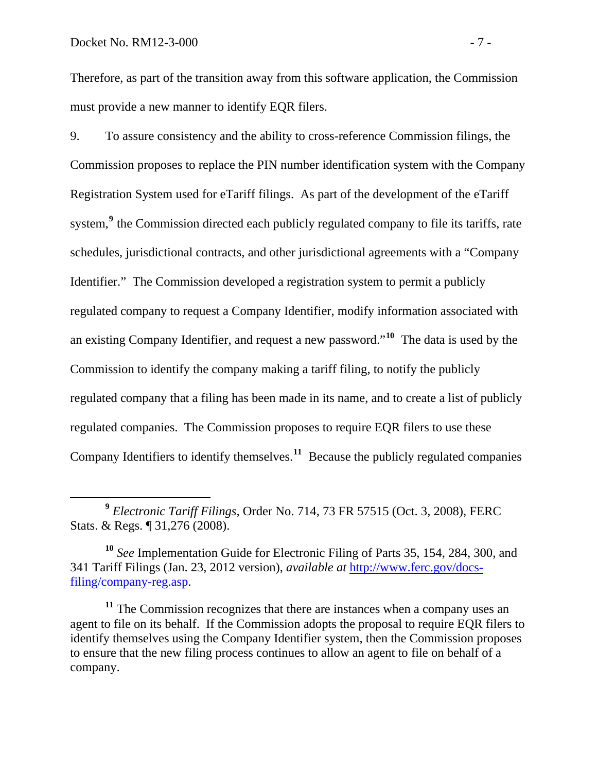Therefore, as part of the transition away from this software application, the Commission must provide a new manner to identify EQR filers.

9. To assure consistency and the ability to cross-reference Commission filings, the Commission proposes to replace the PIN number identification system with the Company Registration System used for eTariff filings. As part of the development of the eTariff system,<sup>[9](#page-9-0)</sup> the Commission directed each publicly regulated company to file its tariffs, rate schedules, jurisdictional contracts, and other jurisdictional agreements with a "Company Identifier." The Commission developed a registration system to permit a publicly regulated company to request a Company Identifier, modify information associated with an existing Company Identifier, and request a new password."**[10](#page-9-1)** The data is used by the Commission to identify the company making a tariff filing, to notify the publicly regulated company that a filing has been made in its name, and to create a list of publicly regulated companies. The Commission proposes to require EQR filers to use these Company Identifiers to identify themselves.**[11](#page-9-2)** Because the publicly regulated companies

<span id="page-9-0"></span>**<sup>9</sup>** *Electronic Tariff Filings,* Order No. 714, 73 FR 57515 (Oct. 3, 2008), FERC Stats. & Regs. ¶ 31,276 (2008).

<span id="page-9-1"></span>**<sup>10</sup>** *See* Implementation Guide for Electronic Filing of Parts 35, 154, 284, 300, and 341 Tariff Filings (Jan. 23, 2012 version), *available at* [http://www.ferc.gov/docs](http://www.ferc.gov/docs-filing/company-reg.asp)[filing/company-reg.asp.](http://www.ferc.gov/docs-filing/company-reg.asp)

<span id="page-9-2"></span>**<sup>11</sup>** The Commission recognizes that there are instances when a company uses an agent to file on its behalf. If the Commission adopts the proposal to require EQR filers to identify themselves using the Company Identifier system, then the Commission proposes to ensure that the new filing process continues to allow an agent to file on behalf of a company.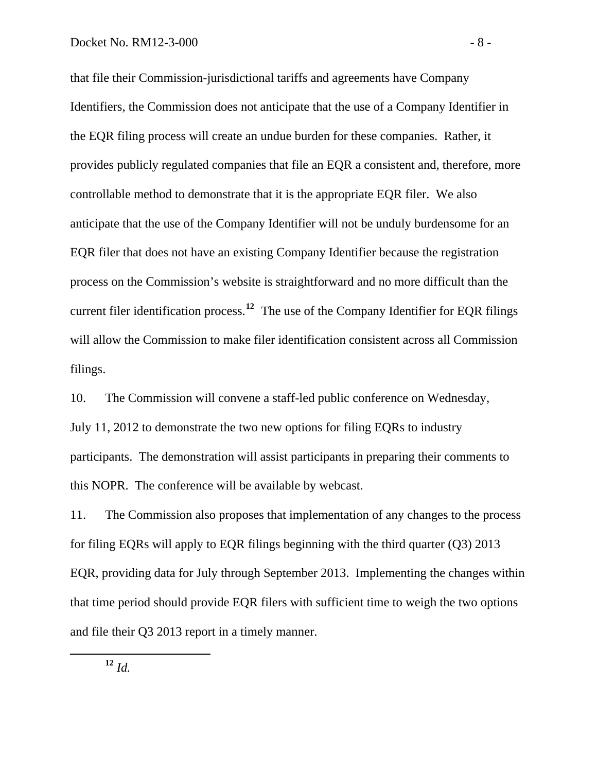that file their Commission-jurisdictional tariffs and agreements have Company Identifiers, the Commission does not anticipate that the use of a Company Identifier in the EQR filing process will create an undue burden for these companies. Rather, it provides publicly regulated companies that file an EQR a consistent and, therefore, more controllable method to demonstrate that it is the appropriate EQR filer. We also anticipate that the use of the Company Identifier will not be unduly burdensome for an EQR filer that does not have an existing Company Identifier because the registration process on the Commission's website is straightforward and no more difficult than the current filer identification process.**<sup>12</sup>** The use of the Company Identifier for EQR filings will allow the Commission to make filer identification consistent across all Commission filings.

10. The Commission will convene a staff-led public conference on Wednesday, July 11, 2012 to demonstrate the two new options for filing EQRs to industry participants. The demonstration will assist participants in preparing their comments to this NOPR. The conference will be available by webcast.

11. The Commission also proposes that implementation of any changes to the process for filing EQRs will apply to EQR filings beginning with the third quarter (Q3) 2013 EQR, providing data for July through September 2013. Implementing the changes within that time period should provide EQR filers with sufficient time to weigh the two options and file their Q3 2013 report in a timely manner.

**<sup>12</sup>** *Id.*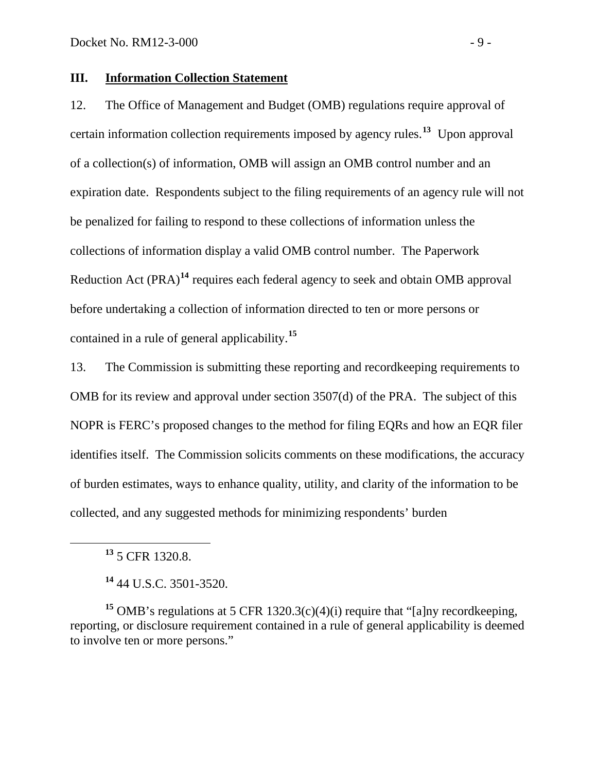## **III. Information Collection Statement**

12. The Office of Management and Budget (OMB) regulations require approval of certain information collection requirements imposed by agency rules.**[13](#page-11-0)** Upon approval of a collection(s) of information, OMB will assign an OMB control number and a n expiration date. Respondents subject to the filing requirements of an agency rule will not be penalized for failing to respond to these collections of information unless the collections of information display a valid OMB control number. The Paperwork Reduction Act (PRA) **[14](#page-11-1)** requires each federal agency to seek and obtain OMB approval before undertaking a collection of information directed to ten or more persons or contained in a rule of general applicability.**[15](#page-11-2)**

13. The Commission is submitting these reporting and recordkeeping requirements to OMB for its review and approval under section 3507(d) of the PRA. The subject of this NOPR is FERC's proposed changes to the method for filing EQRs and how an EQR filer identifies itself. The Commission solicits comments on these modifications, the accuracy of burden estimates, ways to enhance quality, utility, and clarity of the information to be collected, and any suggested methods for minimizing respondents' burden

<span id="page-11-0"></span> $\overline{a}$ 

<span id="page-11-2"></span><span id="page-11-1"></span>**<sup>15</sup>** OMB's regulations at 5 CFR 1320.3(c)(4)(i) require that "[a]ny recordkeeping, reporting, or disclosure requirement contained in a rule of general applicability is deemed to involve ten or more persons."

**<sup>13</sup>** 5 CFR 1320.8.

**<sup>14</sup>** 44 U.S.C. 3501-3520.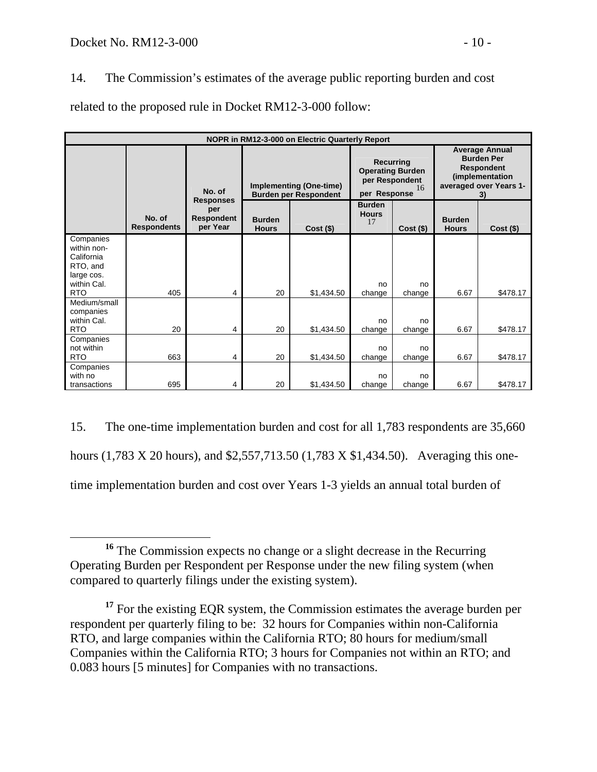14. The Commission's estimates of the average public reporting burden and cost related to the proposed rule in Docket RM12-3-000 follow:

| NOPR in RM12-3-000 on Electric Quarterly Report                                               |                              |                                                   |                                                                |             |                                                                              |              |                                                                                                                    |             |
|-----------------------------------------------------------------------------------------------|------------------------------|---------------------------------------------------|----------------------------------------------------------------|-------------|------------------------------------------------------------------------------|--------------|--------------------------------------------------------------------------------------------------------------------|-------------|
|                                                                                               |                              | No. of                                            | <b>Implementing (One-time)</b><br><b>Burden per Respondent</b> |             | Recurring<br><b>Operating Burden</b><br>per Respondent<br>16<br>per Response |              | <b>Average Annual</b><br><b>Burden Per</b><br><b>Respondent</b><br>(implementation<br>averaged over Years 1-<br>3) |             |
|                                                                                               | No. of<br><b>Respondents</b> | <b>Responses</b><br>per<br>Respondent<br>per Year | <b>Burden</b><br><b>Hours</b>                                  | $Cost($ \$) | <b>Burden</b><br><b>Hours</b><br>17                                          | $Cost($ \$)  | <b>Burden</b><br><b>Hours</b>                                                                                      | $Cost($ \$) |
| Companies<br>within non-<br>California<br>RTO, and<br>large cos.<br>within Cal.<br><b>RTO</b> | 405                          | 4                                                 | 20                                                             | \$1,434.50  | no<br>change                                                                 | no<br>change | 6.67                                                                                                               | \$478.17    |
| Medium/small<br>companies<br>within Cal.<br><b>RTO</b>                                        | 20                           | 4                                                 | 20                                                             | \$1,434.50  | no<br>change                                                                 | no<br>change | 6.67                                                                                                               | \$478.17    |
| Companies<br>not within<br><b>RTO</b>                                                         | 663                          | 4                                                 | 20                                                             | \$1,434.50  | no<br>change                                                                 | no<br>change | 6.67                                                                                                               | \$478.17    |
| Companies<br>with no<br>transactions                                                          | 695                          | 4                                                 | 20                                                             | \$1,434.50  | no<br>change                                                                 | no<br>change | 6.67                                                                                                               | \$478.17    |

15. The one-time implementation burden and cost for all 1,783 respondents are 35,660 hours (1,783 X 20 hours), and \$2,557,713.50 (1,783 X \$1,434.50). Averaging this onetime implementation burden and cost over Years 1-3 yields an annual total burden of

<span id="page-12-0"></span>**<sup>16</sup>** The Commission expects no change or a slight decrease in the Recurring Operating Burden per Respondent per Response under the new filing system (when compared to quarterly filings under the existing system).

<span id="page-12-1"></span><sup>&</sup>lt;sup>17</sup> For the existing EQR system, the Commission estimates the average burden per respondent per quarterly filing to be: 32 hours for Companies within non-California RTO, and large companies within the California RTO; 80 hours for medium/small Companies within the California RTO; 3 hours for Companies not within an RTO; and 0.083 hours [5 minutes] for Companies with no transactions.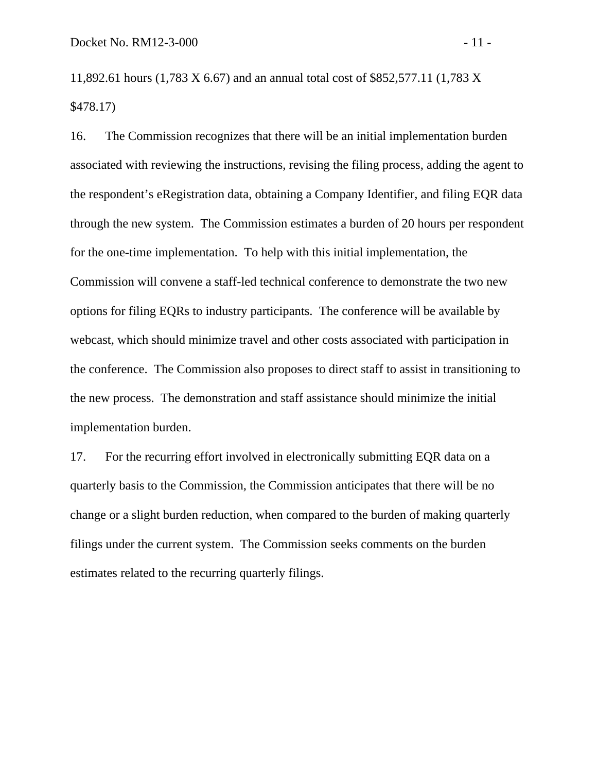11,892.61 hours (1,783 X 6.67) and an annual total cost of \$852,577.11 (1,783 X \$478.17)

16. The Commission recognizes that there will be an initial implementation burden associated with reviewing the instructions, revising the filing process, adding the agent to the respondent's eRegistration data, obtaining a Company Identifier, and filing EQR data through the new system. The Commission estimates a burden of 20 hours per respondent for the one-time implementation. To help with this initial implementation, the Commission will convene a staff-led technical conference to demonstrate the two new options for filing EQRs to industry participants. The conference will be available by webcast, which should minimize travel and other costs associated with participation in the conference. The Commission also proposes to direct staff to assist in transitioning to the new process. The demonstration and staff assistance should minimize the initial implementation burden.

17. For the recurring effort involved in electronically submitting EQR data on a quarterly basis to the Commission, the Commission anticipates that there will be no change or a slight burden reduction, when compared to the burden of making quarterly filings under the current system. The Commission seeks comments on the burden estimates related to the recurring quarterly filings.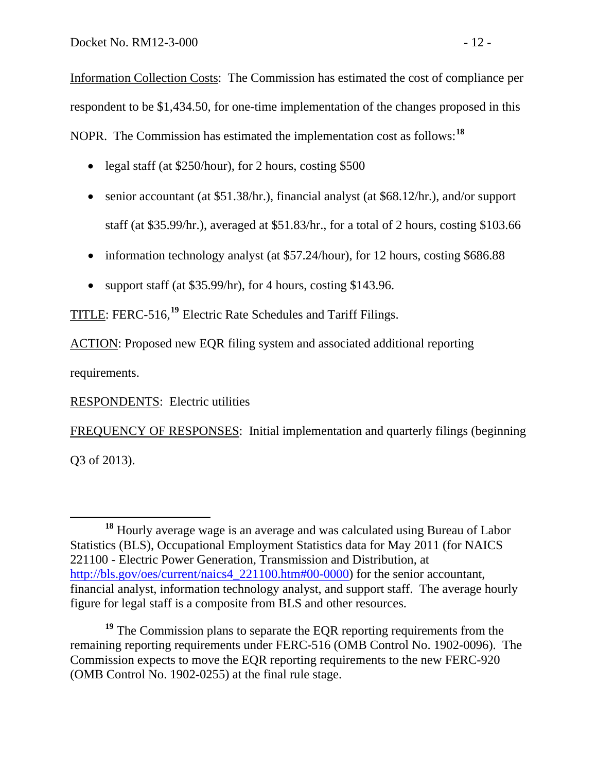Information Collection Costs: The Commission has estimated the cost of compliance per respondent to be \$1,434.50, for one-time implementation of the changes proposed in this NOPR. The Commission has estimated the implementation cost as follows:**[18](#page-14-0)**

- legal staff (at \$250/hour), for 2 hours, costing \$500
- senior accountant (at \$51.38/hr.), financial analyst (at \$68.12/hr.), and/or support staff (at \$35.99/hr.), averaged at \$51.83/hr., for a total of 2 hours, costing \$103.66
- information technology analyst (at \$57.24/hour), for 12 hours, costing \$686.88
- support staff (at  $$35.99/hr$ ), for 4 hours, costing \$143.96.

TITLE: FERC-516,**[19](#page-14-1)** Electric Rate Schedules and Tariff Filings.

ACTION: Proposed new EQR filing system and associated additional reporting

requirements.

RESPONDENTS: Electric utilities

FREQUENCY OF RESPONSES: Initial implementation and quarterly filings (beginning Q3 of 2013).

<span id="page-14-0"></span>**<sup>18</sup>** Hourly average wage is an average and was calculated using Bureau of Labor Statistics (BLS), Occupational Employment Statistics data for May 2011 (for NAICS 221100 - Electric Power Generation, Transmission and Distribution, at http://bls.gov/oes/current/naics4 221100.htm#00-0000) for the senior accountant, financial analyst, information technology analyst, and support staff. The average hourly figure for legal staff is a composite from BLS and other resources.

<span id="page-14-1"></span><sup>&</sup>lt;sup>19</sup> The Commission plans to separate the EQR reporting requirements from the remaining reporting requirements under FERC-516 (OMB Control No. 1902-0096). The Commission expects to move the EQR reporting requirements to the new FERC-920 (OMB Control No. 1902-0255) at the final rule stage.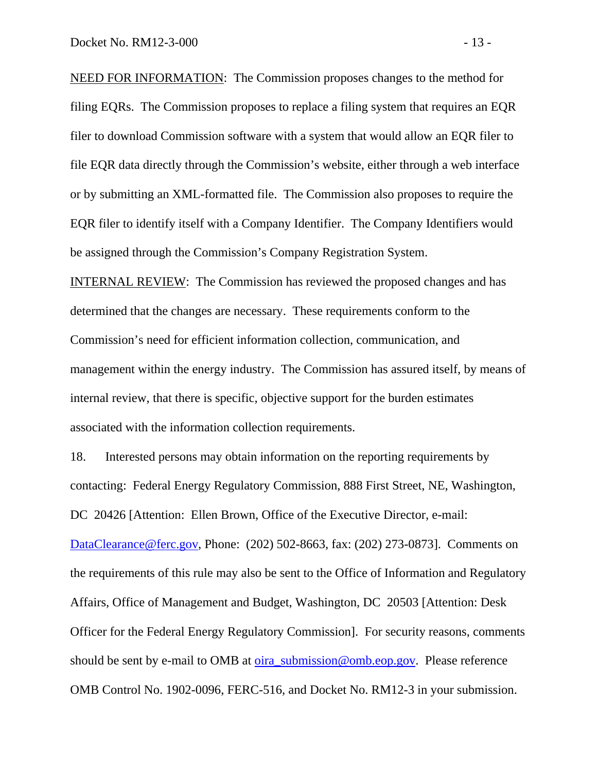NEED FOR INFORMATION: The Commission proposes changes to the method for filing EQRs. The Commission proposes to replace a filing system that requires an EQR filer to download Commission software with a system that would allow an EQR filer to file EQR data directly through the Commission's website, either through a web interface or by submitting an XML-formatted file. The Commission also proposes to require the EQR filer to identify itself with a Company Identifier. The Company Identifiers would be assigned through the Commission's Company Registration System.

INTERNAL REVIEW: The Commission has reviewed the proposed changes and has determined that the changes are necessary. These requirements conform to the Commission's need for efficient information collection, communication, and management within the energy industry. The Commission has assured itself, by means of internal review, that there is specific, objective support for the burden estimates associated with the information collection requirements.

18. Interested persons may obtain information on the reporting requirements by contacting: Federal Energy Regulatory Commission, 888 First Street, NE, Washington, DC 20426 [Attention: Ellen Brown, Office of the Executive Director, e-mail: [DataClearance@ferc.gov](mailto:DataClearance@ferc.gov), Phone: (202) 502-8663, fax: (202) 273-0873]. Comments on the requirements of this rule may also be sent to the Office of Information and Regulatory Affairs, Office of Management and Budget, Washington, DC 20503 [Attention: Desk Officer for the Federal Energy Regulatory Commission]. For security reasons, comments should be sent by e-mail to OMB at [oira\\_submission@omb.eop.gov](mailto:oira_submission@omb.eop.gov). Please reference OMB Control No. 1902-0096, FERC-516, and Docket No. RM12-3 in your submission.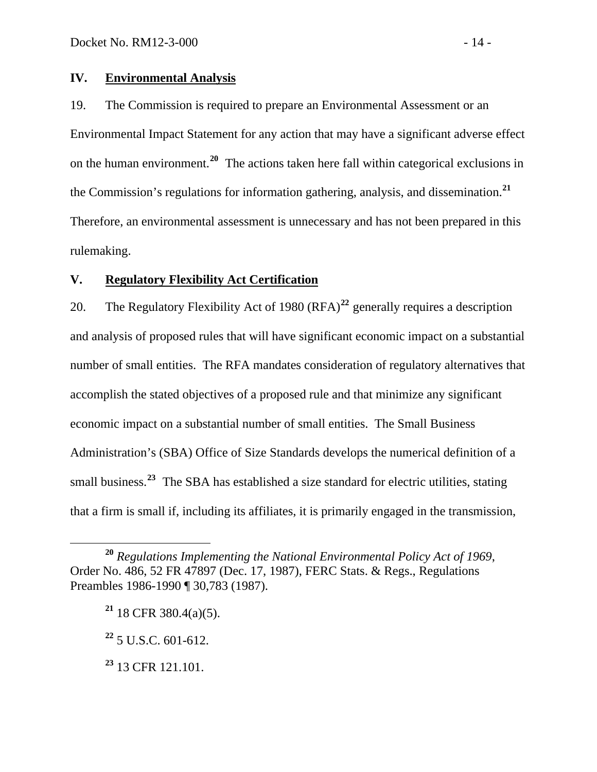## **IV. Environmental Analysis**

19. The Commission is required to prepare an Environmental Assessment or an Environmental Impact Statement for any action that may have a significant adverse effect on the human environment.**[20](#page-16-0)** The actions taken here fall within categorical exclusions in the Commission's regulations for information gathering, analysis, and dissemination.**[21](#page-16-1)** Therefore, an environmental assessment is unnecessary and has not been prepared in this rulemaking.

# **V. Regulatory Flexibility Act Certification**

20. The Regulatory Flexibility Act of 1980 (RFA)**[22](#page-16-2)** generally requires a description and analysis of proposed rules that will have significant economic impact on a substantial number of small entities. The RFA mandates consideration of regulatory alternatives that accomplish the stated objectives of a proposed rule and that minimize any significant economic impact on a substantial number of small entities. The Small Business Administration's (SBA) Office of Size Standards develops the numerical definition of a small business.<sup>[23](#page-16-3)</sup> The SBA has established a size standard for electric utilities, stating that a firm is small if, including its affiliates, it is primarily engaged in the transmission,

<span id="page-16-1"></span><span id="page-16-0"></span>**<sup>20</sup>** *Regulations Implementing the National Environmental Policy Act of 1969*, Order No. 486, 52 FR 47897 (Dec. 17, 1987), FERC Stats. & Regs., Regulations Preambles 1986-1990 ¶ 30,783 (1987).

**<sup>21</sup>** 18 CFR 380.4(a)(5).

<span id="page-16-2"></span>**<sup>22</sup>** 5 U.S.C. 601-612.

<span id="page-16-3"></span>**<sup>23</sup>** 13 CFR 121.101.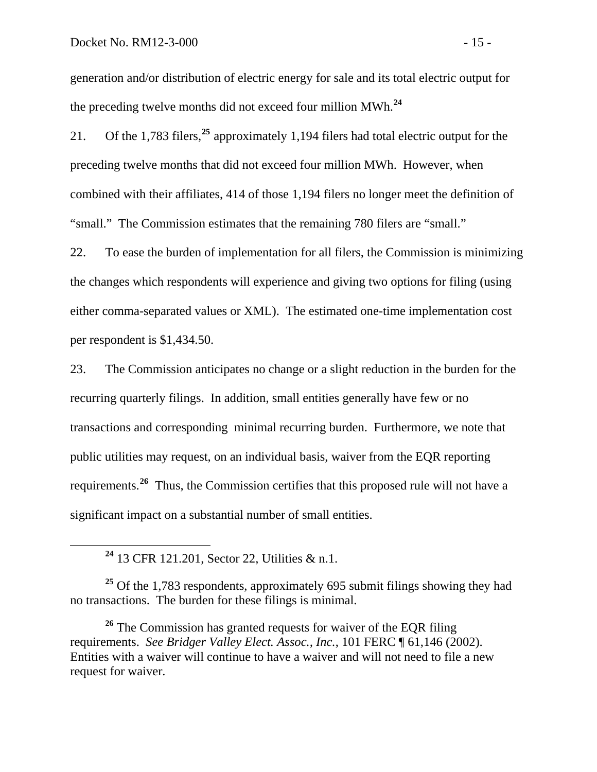generation and/or distribution of electric energy for sale and its total electric output for the preceding twelve months did not exceed four million MWh.**<sup>24</sup>**

21. Of the 1,783 filers,**[25](#page-17-0)** approximately 1,194 filers had total electric output for the preceding twelve months that did not exceed four million MWh. However, when combined with their affiliates, 414 of those 1,194 filers no longer meet the definition of "small." The Commission estimates that the remaining 780 filers are "small."

22. To ease the burden of implementation for all filers, the Commission is minimizing the changes which respondents will experience and giving two options for filing (using either comma-separated values or XML). The estimated one-time implementation cost per respondent is \$1,434.50.

23. The Commission anticipates no change or a slight reduction in the burden for the recurring quarterly filings. In addition, small entities generally have few or no transactions and corresponding minimal recurring burden. Furthermore, we note that public utilities may request, on an individual basis, waiver from the EQR reporting requirements.**[26](#page-17-1)** Thus, the Commission certifies that this proposed rule will not have a significant impact on a substantial number of small entities.

**<sup>24</sup>** 13 CFR 121.201, Sector 22, Utilities & n.1.

<span id="page-17-0"></span><sup>25</sup> Of the 1,783 respondents, approximately 695 submit filings showing they had no transactions. The burden for these filings is minimal.

<span id="page-17-1"></span><sup>26</sup> The Commission has granted requests for waiver of the EQR filing requirements. *See Bridger Valley Elect. Assoc., Inc.*, 101 FERC ¶ 61,146 (2002). Entities with a waiver will continue to have a waiver and will not need to file a new request for waiver.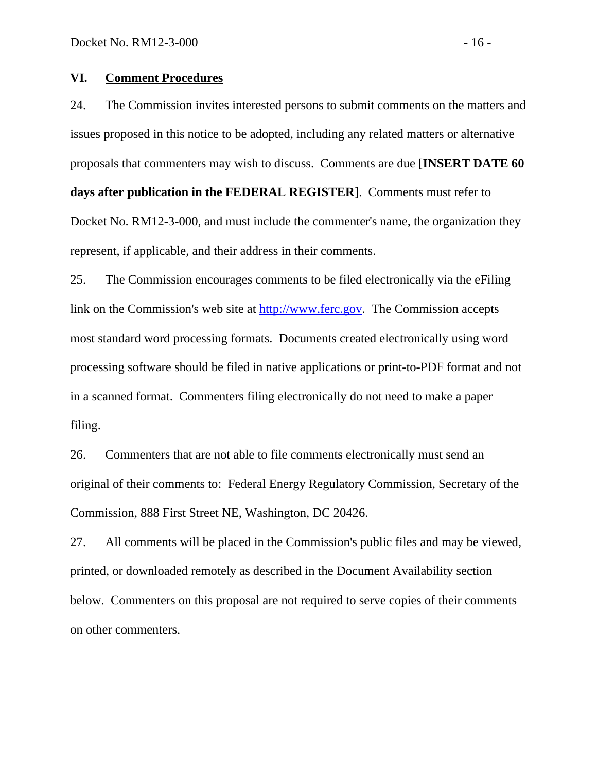#### **VI. Comment Procedures**

24. The Commission invites interested persons to submit comments on the matters and issues proposed in this notice to be adopted, including any related matters or alternative proposals that commenters may wish to discuss. Comments are due [**INSERT DATE 60 days after publication in the FEDERAL REGISTER**]. Comments must refer to Docket No. RM12-3-000, and must include the commenter's name, the organization they represent, if applicable, and their address in their comments.

25. The Commission encourages comments to be filed electronically via the eFiling link on the Commission's web site at [http://www.ferc.gov.](http://www.ferc.gov/) The Commission accepts most standard word processing formats. Documents created electronically using word processing software should be filed in native applications or print-to-PDF format and not in a scanned format. Commenters filing electronically do not need to make a paper filing.

26. Commenters that are not able to file comments electronically must send an original of their comments to: Federal Energy Regulatory Commission, Secretary of the Commission, 888 First Street NE, Washington, DC 20426.

27. All comments will be placed in the Commission's public files and may be viewed, printed, or downloaded remotely as described in the Document Availability section below. Commenters on this proposal are not required to serve copies of their comments on other commenters.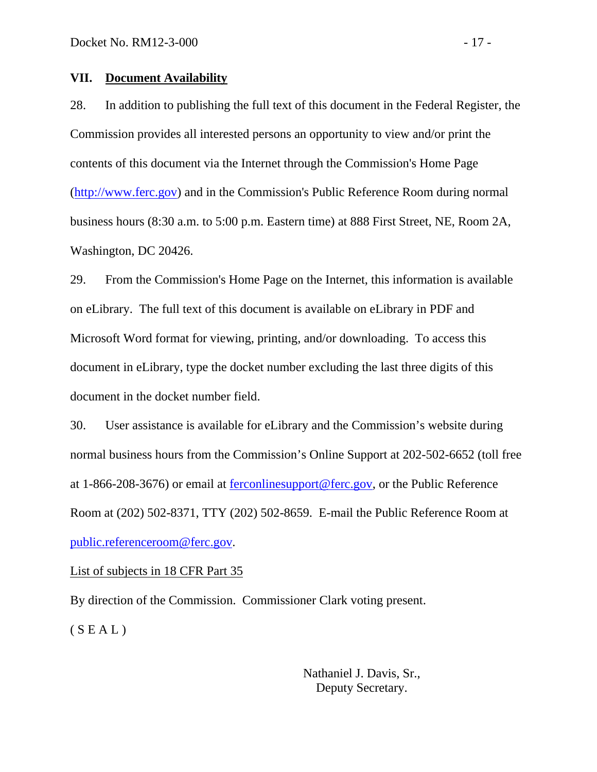#### **VII. Document Availability**

28. In addition to publishing the full text of this document in the Federal Register, the Commission provides all interested persons an opportunity to view and/or print the contents of this document via the Internet through the Commission's Home Page [\(http://www.ferc.gov\)](http://www.ferc.gov/) and in the Commission's Public Reference Room during normal business hours (8:30 a.m. to 5:00 p.m. Eastern time) at 888 First Street, NE, Room 2A, Washington, DC 20426.

29. From the Commission's Home Page on the Internet, this information is available on eLibrary. The full text of this document is available on eLibrary in PDF and Microsoft Word format for viewing, printing, and/or downloading. To access this document in eLibrary, type the docket number excluding the last three digits of this document in the docket number field.

30. User assistance is available for eLibrary and the Commission's website during normal business hours from the Commission's Online Support at 202-502-6652 (toll free at 1-866-208-3676) or email at [ferconlinesupport@ferc.gov](mailto:ferconlinesupport@ferc.gov), or the Public Reference Room at (202) 502-8371, TTY (202) 502-8659. E-mail the Public Reference Room at [public.referenceroom@ferc.gov](mailto:public.referenceroom@ferc.gov).

#### List of subjects in 18 CFR Part 35

By direction of the Commission. Commissioner Clark voting present.  $(S E A L)$ 

> Nathaniel J. Davis, Sr., Deputy Secretary.